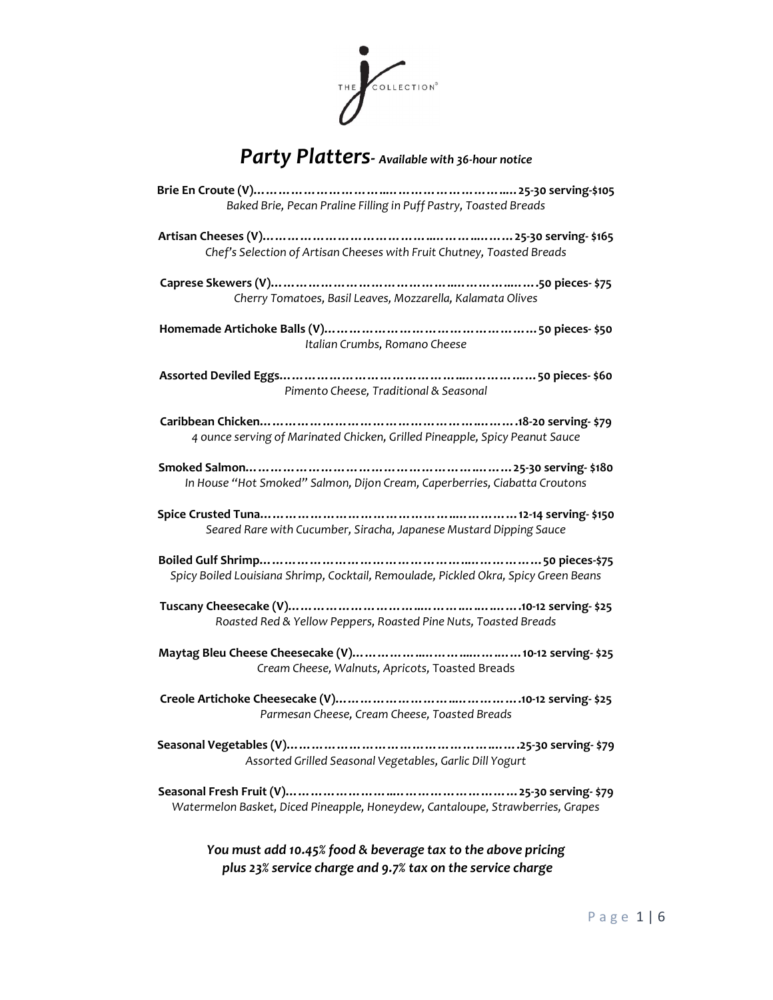

# Party Platters- Available with 36-hour notice

| Baked Brie, Pecan Praline Filling in Puff Pastry, Toasted Breads                    |
|-------------------------------------------------------------------------------------|
| Chef's Selection of Artisan Cheeses with Fruit Chutney, Toasted Breads              |
| Cherry Tomatoes, Basil Leaves, Mozzarella, Kalamata Olives                          |
| Italian Crumbs, Romano Cheese                                                       |
| Pimento Cheese, Traditional & Seasonal                                              |
| 4 ounce serving of Marinated Chicken, Grilled Pineapple, Spicy Peanut Sauce         |
| In House "Hot Smoked" Salmon, Dijon Cream, Caperberries, Ciabatta Croutons          |
| Seared Rare with Cucumber, Siracha, Japanese Mustard Dipping Sauce                  |
| Spicy Boiled Louisiana Shrimp, Cocktail, Remoulade, Pickled Okra, Spicy Green Beans |
| Roasted Red & Yellow Peppers, Roasted Pine Nuts, Toasted Breads                     |
| Cream Cheese, Walnuts, Apricots, Toasted Breads                                     |
| Parmesan Cheese, Cream Cheese, Toasted Breads                                       |
| Assorted Grilled Seasonal Vegetables, Garlic Dill Yogurt                            |
| Watermelon Basket, Diced Pineapple, Honeydew, Cantaloupe, Strawberries, Grapes      |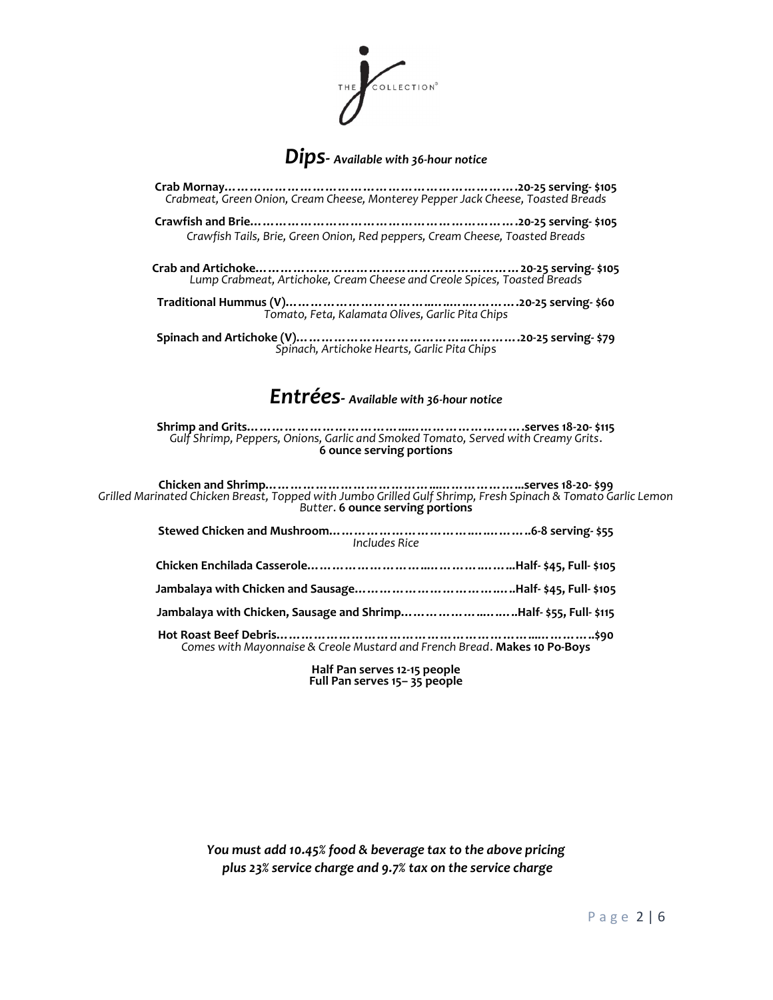| THE COLLECTION                                                                   |
|----------------------------------------------------------------------------------|
| $\rho$ ipS- Available with 36-hour notice                                        |
| Crabmeat, Green Onion, Cream Cheese, Monterey Pepper Jack Cheese, Toasted Breads |
| Crawfish Tails, Brie, Green Onion, Red peppers, Cream Cheese, Toasted Breads     |
| Lump Crabmeat, Artichoke, Cream Cheese and Creole Spices, Toasted Breads         |
| Tomato, Feta, Kalamata Olives, Garlic Pita Chips                                 |
| Spinach, Artichoke Hearts, Garlic Pita Chips                                     |
| <b>Entrées</b> - Available with 36-hour notice                                   |

Shrimp and Grits………………………………...……………………….serves 18-20- \$115 Gulf Shrimp, Peppers, Onions, Garlic and Smoked Tomato, Served with Creamy Grits. 6 ounce serving portions

Chicken and Shrimp…………………………………...………………...serves 18-20- \$99 Grilled Marinated Chicken Breast, Topped with Jumbo Grilled Gulf Shrimp, Fresh Spinach & Tomato Garlic Lemon Butter. 6 ounce serving portions

| Includes Rice                                                             |  |
|---------------------------------------------------------------------------|--|
|                                                                           |  |
|                                                                           |  |
| Jambalaya with Chicken, Sausage and ShrimpHalf- \$55, Full- \$115         |  |
| Comes with Mayonnaise & Creole Mustard and French Bread. Makes 10 Po-Boys |  |

Half Pan serves 12-15 people Full Pan serves 15– 35 people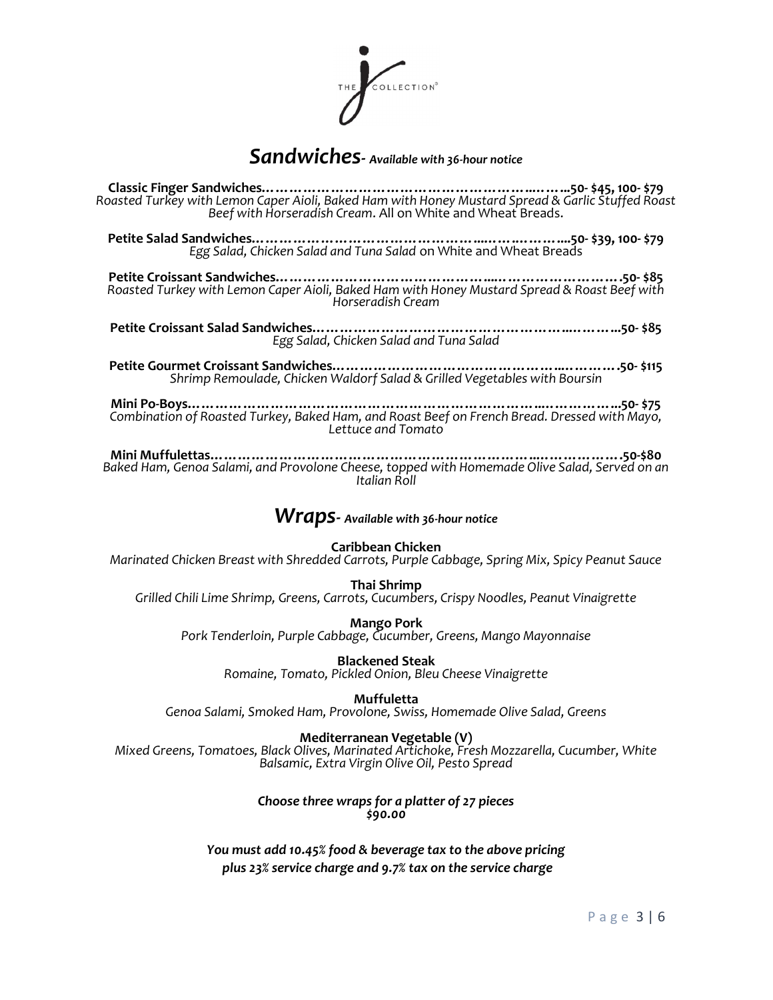

### Sandwiches- Available with 36-hour notice

Classic Finger Sandwiches…………………………………………………..……...50- \$45, 100- \$79 Roasted Turkey with Lemon Caper Aioli, Baked Ham with Honey Mustard Spread & Garlic Stuffed Roast Beef with Horseradish Cream. All on White and Wheat Breads.

Petite Salad Sandwiches…………………………………………...…….………....50- \$39, 100- \$79 Egg Salad, Chicken Salad and Tuna Salad on White and Wheat Breads

Petite Croissant Sandwiches………………………………………...……………………….50- \$85 Roasted Turkey with Lemon Caper Aioli, Baked Ham with Honey Mustard Spread & Roast Beef with Horseradish Cream

Petite Croissant Salad Sandwiches………………………………………………..………...50- \$85 Egg Salad, Chicken Salad and Tuna Salad

Petite Gourmet Croissant Sandwiches…………………………………………..………….50- \$115 Shrimp Remoulade, Chicken Waldorf Salad & Grilled Vegetables with Boursin

Mini Po-Boys…………………………………………………………………..……………...50- \$75 Combination of Roasted Turkey, Baked Ham, and Roast Beef on French Bread. Dressed with Mayo, Lettuce and Tomato

Mini Muffulettas……………………………………………………………..……………….50-\$80 Baked Ham, Genoa Salami, and Provolone Cheese, topped with Homemade Olive Salad, Served on an Italian Roll

### Wraps- Available with 36-hour notice

Caribbean Chicken

Marinated Chicken Breast with Shredded Carrots, Purple Cabbage, Spring Mix, Spicy Peanut Sauce

Thai Shrimp

Grilled Chili Lime Shrimp, Greens, Carrots, Cucumbers, Crispy Noodles, Peanut Vinaigrette

Mango Pork

Pork Tenderloin, Purple Cabbage, Cucumber, Greens, Mango Mayonnaise

Blackened Steak Romaine, Tomato, Pickled Onion, Bleu Cheese Vinaigrette

Muffuletta

Genoa Salami, Smoked Ham, Provolone, Swiss, Homemade Olive Salad, Greens

#### Mediterranean Vegetable (V)

Mixed Greens, Tomatoes, Black Olives, Marinated Artichoke, Fresh Mozzarella, Cucumber, White Balsamic, Extra Virgin Olive Oil, Pesto Spread

> Choose three wraps for a platter of 27 pieces  $$90.00$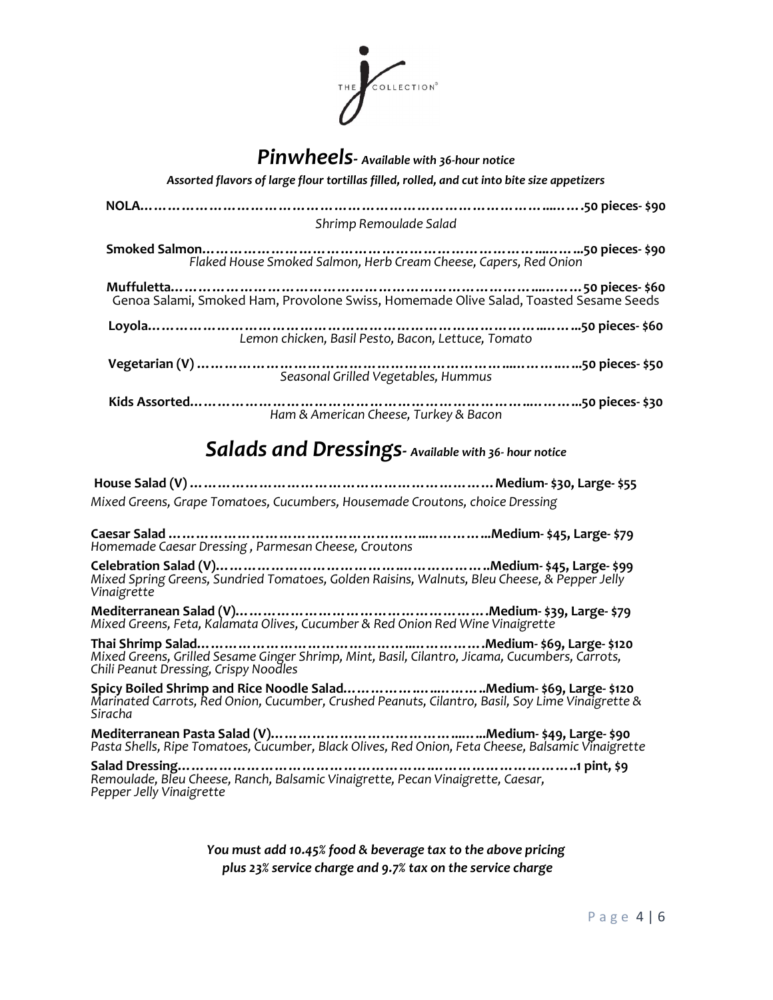

## Pinwheels- Available with 36-hour notice

Assorted flavors of large flour tortillas filled, rolled, and cut into bite size appetizers

| .50 pieces- \$90                                                                                      |
|-------------------------------------------------------------------------------------------------------|
| Shrimp Remoulade Salad                                                                                |
| Smoked Salmon<br>.50 pieces- \$90<br>Flaked House Smoked Salmon, Herb Cream Cheese, Capers, Red Onion |
| Muffuletta<br>50 pieces- \$60                                                                         |
| 50 pieces- \$60<br>Lemon chicken, Basil Pesto, Bacon, Lettuce, Tomato                                 |
| .50 pieces- \$50<br>Seasonal Grilled Vegetables, Hummus                                               |
| Kids Assorted<br>.50 pieces- \$30<br>Ham & American Cheese, Turkey & Bacon                            |
| معمن ممدودا الممرم مامط                                                                               |

### Salads and Dressings- Available with 36- hour notice

House Salad (V) …………………………………………………………Medium- \$30, Large- \$55 Mixed Greens, Grape Tomatoes, Cucumbers, Housemade Croutons, choice Dressing

 Caesar Salad ………………………………………………..…………...Medium- \$45, Large- \$79 Homemade Caesar Dressing , Parmesan Cheese, Croutons

 Celebration Salad (V)………………………………….………………..Medium- \$45, Large- \$99 Mixed Spring Greens, Sundried Tomatoes, Golden Raisins, Walnuts, Bleu Cheese, & Pepper Jelly Vinaigrette

 Mediterranean Salad (V)……………………………………………….Medium- \$39, Large- \$79 Mixed Greens, Feta, Kalamata Olives, Cucumber & Red Onion Red Wine Vinaigrette

 Thai Shrimp Salad………………………………………..…………….Medium- \$69, Large- \$120 Mixed Greens, Grilled Sesame Ginger Shrimp, Mint, Basil, Cilantro, Jicama, Cucumbers, Carrots, Chili Peanut Dressing, Crispy Noodles

 Spicy Boiled Shrimp and Rice Noodle Salad…………….…..………..Medium- \$69, Large- \$120 Marinated Carrots, Red Onion, Cucumber, Crushed Peanuts, Cilantro, Basil, Soy Lime Vinaigrette & Siracha

 Mediterranean Pasta Salad (V)…………………………………...…...Medium- \$49, Large- \$90 Pasta Shells, Ripe Tomatoes, Cucumber, Black Olives, Red Onion, Feta Cheese, Balsamic Vinaigrette

 Salad Dressing……………………………………………….…………………………..1 pint, \$9 Remoulade, Bleu Cheese, Ranch, Balsamic Vinaigrette, Pecan Vinaigrette, Caesar, Pepper Jelly Vinaigrette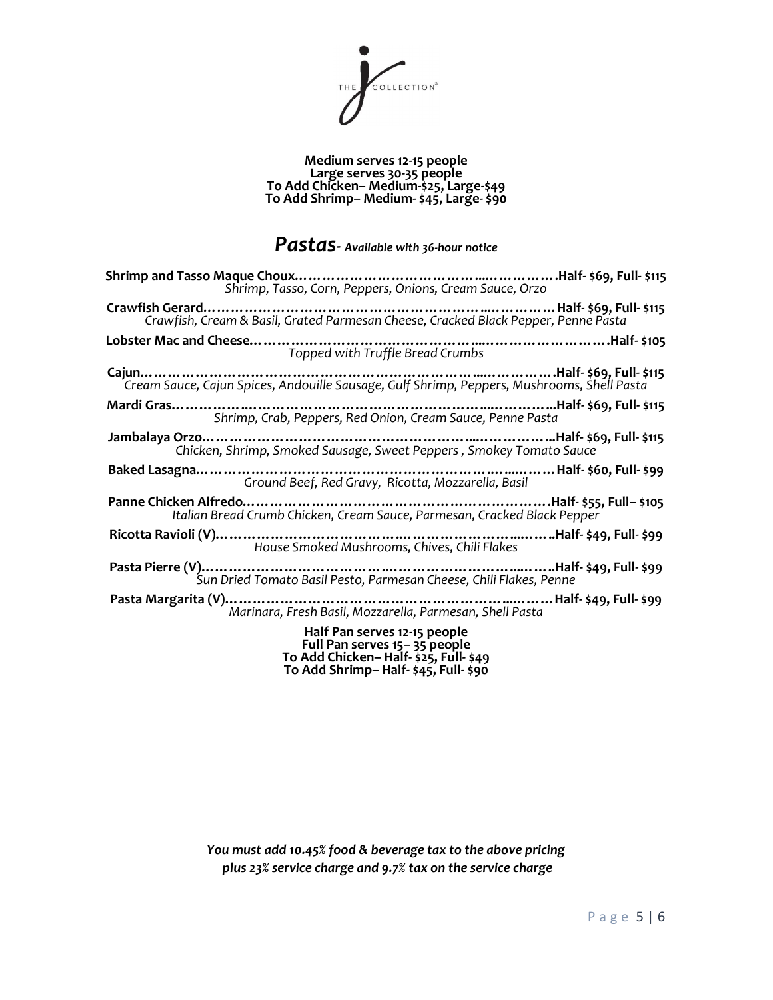

#### Medium serves 12-15 people Large serves 30-35 people To Add Chicken– Medium-\$25, Large-\$49 To Add Shrimp– Medium- \$45, Large- \$90

# Pastas- Available with 36-hour notice

| Shrimp and Tasso Maque Choux……………………………………………………Half- \$69, Full- \$115<br>Shrimp, Tasso, Corn, Peppers, Onions, Cream Sauce, Orzo |
|------------------------------------------------------------------------------------------------------------------------------------|
| Crawfish, Cream & Basil, Grated Parmesan Cheese, Cracked Black Pepper, Penne Pasta                                                 |
| Lobster Mac and Cheese<br>Topped with Truffle Bread Crumbs                                                                         |
| Cajun                                                                                                                              |
| Shrimp, Crab, Peppers, Red Onion, Cream Sauce, Penne Pasta                                                                         |
| Chicken, Shrimp, Smoked Sausage, Sweet Peppers, Smokey Tomato Sauce                                                                |
| Baked Lasagna<br>Ground Beef, Red Gravy, Ricotta, Mozzarella, Basil                                                                |
| Panne Chicken Alfredo<br>. Half- \$55, Full- \$105<br>Italian Bread Crumb Chicken, Cream Sauce, Parmesan, Cracked Black Pepper     |
| Ricotta Ravioli (V)<br>Half- \$49, Full- \$99<br>House Smoked Mushrooms, Chives, Chili Flakes                                      |
| Sun Dried Tomato Basil Pesto, Parmesan Cheese, Chili Flakes, Penne                                                                 |
| Pasta Margarita (V)<br>Marinara, Fresh Basil, Mozzarella, Parmesan, Shell Pasta                                                    |
| Half Pan serves 12-15 people<br>Full Pan serves 15-35 people<br>To Add Chicken-Half- \$25 Full- \$40                               |

To Add Chicken– Half- \$25, Full- \$49 To Add Shrimp– Half- \$45, Full- \$90